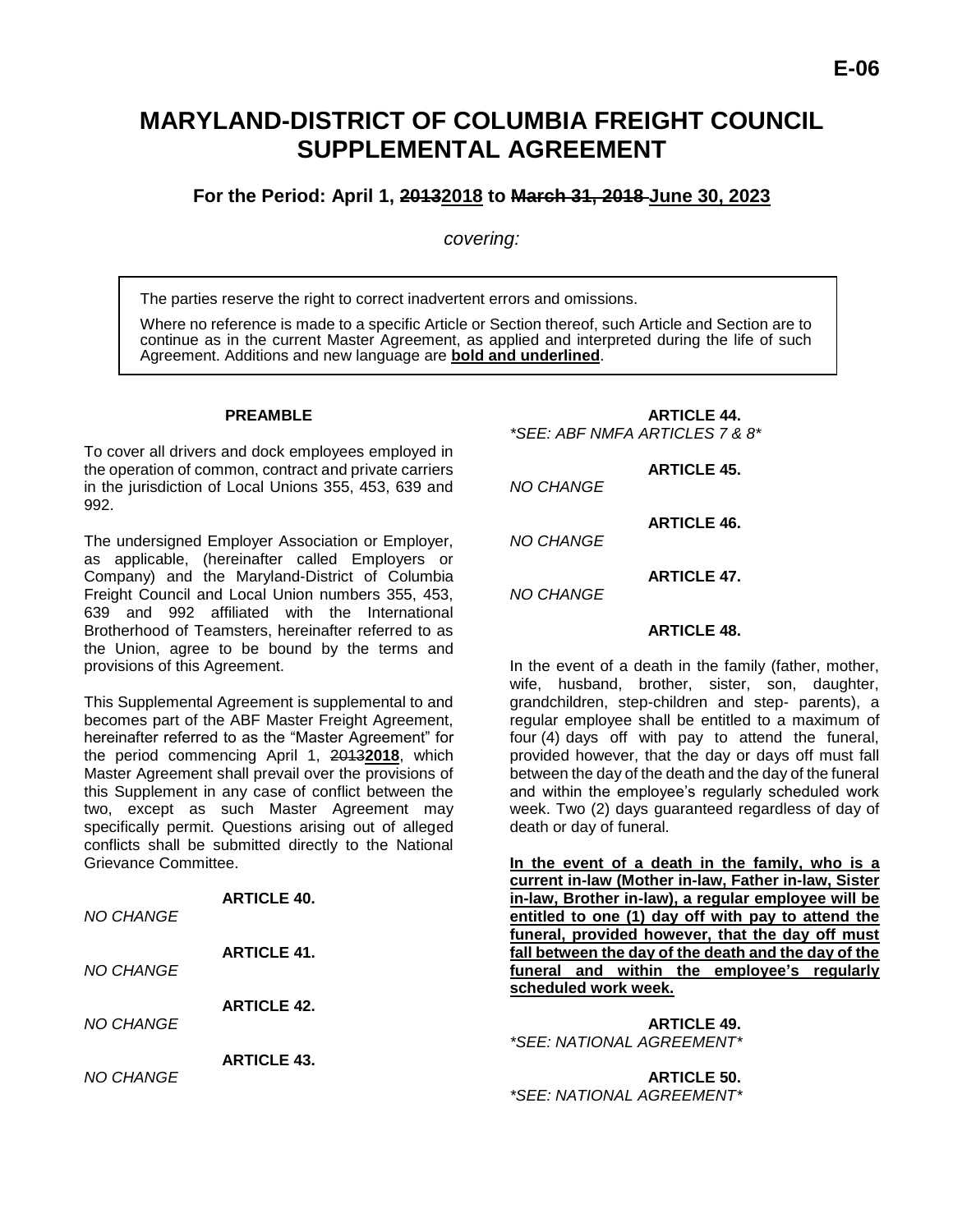# **MARYLAND-DISTRICT OF COLUMBIA FREIGHT COUNCIL SUPPLEMENTAL AGREEMENT**

# **For the Period: April 1, 20132018 to March 31, 2018 June 30, 2023**

#### *covering:*

The parties reserve the right to correct inadvertent errors and omissions.

Where no reference is made to a specific Article or Section thereof, such Article and Section are to continue as in the current Master Agreement, as applied and interpreted during the life of such Agreement. Additions and new language are **bold and underlined**.

#### **PREAMBLE**

To cover all drivers and dock employees employed in the operation of common, contract and private carriers in the jurisdiction of Local Unions 355, 453, 639 and 992.

The undersigned Employer Association or Employer, as applicable, (hereinafter called Employers or Company) and the Maryland-District of Columbia Freight Council and Local Union numbers 355, 453, 639 and 992 affiliated with the International Brotherhood of Teamsters, hereinafter referred to as the Union, agree to be bound by the terms and provisions of this Agreement.

This Supplemental Agreement is supplemental to and becomes part of the ABF Master Freight Agreement, hereinafter referred to as the "Master Agreement" for the period commencing April 1, 2013**2018**, which Master Agreement shall prevail over the provisions of this Supplement in any case of conflict between the two, except as such Master Agreement may specifically permit. Questions arising out of alleged conflicts shall be submitted directly to the National Grievance Committee.

**ARTICLE 40.**

| NO CHANGE | ARTIGLE 40.        |
|-----------|--------------------|
| NO CHANGE | <b>ARTICLE 41.</b> |
| NO CHANGE | <b>ARTICLE 42.</b> |
| NO CHANGE | <b>ARTICLE 43.</b> |

#### **ARTICLE 44.** *\*SEE: ABF NMFA ARTICLES 7 & 8\**

**ARTICLE 45.** *NO CHANGE*

**ARTICLE 46.** *NO CHANGE*

**ARTICLE 47.** *NO CHANGE*

#### **ARTICLE 48.**

In the event of a death in the family (father, mother, wife, husband, brother, sister, son, daughter, grandchildren, step-children and step- parents), a regular employee shall be entitled to a maximum of four (4) days off with pay to attend the funeral, provided however, that the day or days off must fall between the day of the death and the day of the funeral and within the employee's regularly scheduled work week. Two (2) days guaranteed regardless of day of death or day of funeral.

**In the event of a death in the family, who is a current in-law (Mother in-law, Father in-law, Sister in-law, Brother in-law), a regular employee will be entitled to one (1) day off with pay to attend the funeral, provided however, that the day off must fall between the day of the death and the day of the funeral and within the employee's regularly scheduled work week.**

**ARTICLE 49.**  *\*SEE: NATIONAL AGREEMENT\**

**ARTICLE 50.** *\*SEE: NATIONAL AGREEMENT\**